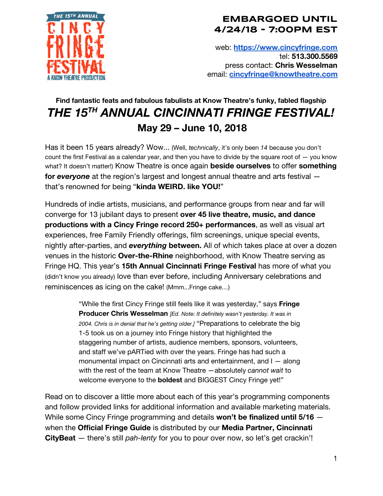

web: **[https://www.cincyfringe.com](https://www.cincyfringe.com/)** tel: **513.300.5569** press contact: **Chris Wesselman** email: **[cincyfringe@knowtheatre.com](mailto:cincyfringe@knowtheatre.com)**

# **Find fantastic feats and fabulous fabulists at Know Theatre's funky, fabled flagship** *THE 15 TH ANNUAL CINCINNATI FRINGE FESTIVAL!* **May 29 – June 10, 2018**

Has it been 15 years already? Wow... (Well, *technically*, it's only been *14* because you don't count the first Festival as a calendar year, and then you have to divide by the square root of  $-$  you know what? It doesn't matter!) Know Theatre is once again **beside ourselves** to offer **something for everyone** at the region's largest and longest annual theatre and arts festival – that's renowned for being "**kinda WEIRD. like YOU!**"

Hundreds of indie artists, musicians, and performance groups from near and far will converge for 13 jubilant days to present **over 45 live theatre, music, and dance productions with a Cincy Fringe record 250+ performances**, as well as visual art experiences, free Family Friendly offerings, film screenings, unique special events, nightly after-parties, and *everything* **between.** All of which takes place at over a dozen venues in the historic **Over-the-Rhine** neighborhood, with Know Theatre serving as Fringe HQ. This year's **15th Annual Cincinnati Fringe Festival** has more of what you (didn't know you already) love than ever before, including Anniversary celebrations and reminiscences as icing on the cake! (Mmm...Fringe cake…)

> "While the first Cincy Fringe still feels like it was yesterday," says **Fringe Producer Chris Wesselman** *[Ed. Note: It definitely wasn't yesterday. It was in 2004. Chris is in denial that he's getting older.]* "Preparations to celebrate the big 1-5 took us on a journey into Fringe history that highlighted the staggering number of artists, audience members, sponsors, volunteers, and staff we've pARTied with over the years. Fringe has had such a monumental impact on Cincinnati arts and entertainment, and I — along with the rest of the team at Know Theatre —absolutely *cannot wait* to welcome everyone to the **boldest** and BIGGEST Cincy Fringe yet!"

Read on to discover a little more about each of this year's programming components and follow provided links for additional information and available marketing materials. While some Cincy Fringe programming and details **won't be finalized until 5/16** when the **Official Fringe Guide** is distributed by our **Media Partner, Cincinnati CityBeat** — there's still *pah-lenty* for you to pour over now, so let's get crackin'!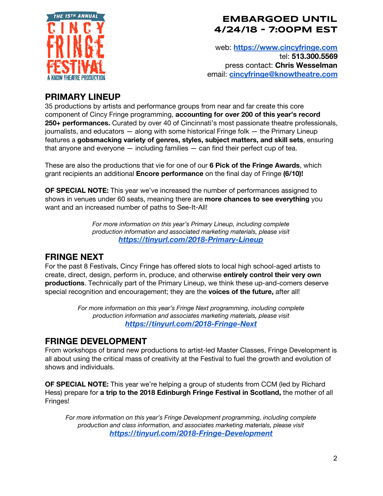

web: **[https://www.cincyfringe.com](https://www.cincyfringe.com/)** tel: **513.300.5569** press contact: **Chris Wesselman** email: **[cincyfringe@knowtheatre.com](mailto:cincyfringe@knowtheatre.com)**

### **PRIMARY LINEUP**

35 productions by artists and performance groups from near and far create this core component of Cincy Fringe programming, **accounting for over 200 of this year's record 250+ performances.** Curated by over 40 of Cincinnati's most passionate theatre professionals, journalists, and educators — along with some historical Fringe folk — the Primary Lineup features a **gobsmacking variety of genres, styles, subject matters, and skill sets**, ensuring that anyone and everyone  $-$  including families  $-$  can find their perfect cup of tea.

These are also the productions that vie for one of our **6 Pick of the Fringe Awards**, which grant recipients an additional **Encore performance** on the final day of Fringe **(6/10)!**

**OF SPECIAL NOTE:** This year we've increased the number of performances assigned to shows in venues under 60 seats, meaning there are **more chances to see everything** you want and an increased number of paths to See-It-All!

> *For more information on this year's Primary Lineup, including complete production information and associated marketing materials, please visit <https://tinyurl.com/2018-Primary-Lineup>*

### **FRINGE NEXT**

For the past 8 Festivals, Cincy Fringe has offered slots to local high school-aged artists to create, direct, design, perform in, produce, and otherwise **entirely control their very own productions**. Technically part of the Primary Lineup, we think these up-and-comers deserve special recognition and encouragement; they are the **voices of the future,** after all!

> *For more information on this year's Fringe Next programming, including complete production information and associates marketing materials, please visit <https://tinyurl.com/2018-Fringe-Next>*

# **FRINGE DEVELOPMENT**

From workshops of brand new productions to artist-led Master Classes, Fringe Development is all about using the critical mass of creativity at the Festival to fuel the growth and evolution of shows and individuals.

**OF SPECIAL NOTE:** This year we're helping a group of students from CCM (led by Richard Hess) prepare for **a trip to the 2018 Edinburgh Fringe Festival in Scotland,** the mother of all Fringes!

*For more information on this year's Fringe Development programming, including complete production and class information, and associates marketing materials, please visit <https://tinyurl.com/2018-Fringe-Development>*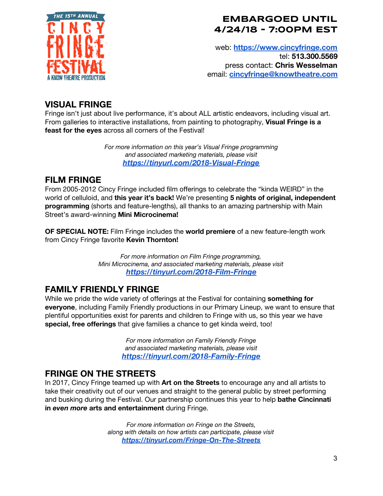

web: **[https://www.cincyfringe.com](https://www.cincyfringe.com/)** tel: **513.300.5569** press contact: **Chris Wesselman** email: **[cincyfringe@knowtheatre.com](mailto:cincyfringe@knowtheatre.com)**

## **VISUAL FRINGE**

Fringe isn't just about live performance, it's about ALL artistic endeavors, including visual art. From galleries to interactive installations, from painting to photography, **Visual Fringe is a feast for the eyes** across all corners of the Festival!

> *For more information on this year's Visual Fringe programming and associated marketing materials, please visit <https://tinyurl.com/2018-Visual-Fringe>*

# **FILM FRINGE**

From 2005-2012 Cincy Fringe included film offerings to celebrate the "kinda WEIRD" in the world of celluloid, and **this year it's back!** We're presenting **5 nights of original, independent programming** (shorts and feature-lengths), all thanks to an amazing partnership with Main Street's award-winning **Mini Microcinema!**

**OF SPECIAL NOTE:** Film Fringe includes the **world premiere** of a new feature-length work from Cincy Fringe favorite **Kevin Thornton!**

> *For more information on Film Fringe programming, Mini Microcinema, and associated marketing materials, please visit <https://tinyurl.com/2018-Film-Fringe>*

# **FAMILY FRIENDLY FRINGE**

While we pride the wide variety of offerings at the Festival for containing **something for everyone**, including Family Friendly productions in our Primary Lineup, we want to ensure that plentiful opportunities exist for parents and children to Fringe with us, so this year we have **special, free offerings** that give families a chance to get kinda weird, too!

> *For more information on Family Friendly Fringe and associated marketing materials, please visit <https://tinyurl.com/2018-Family-Fringe>*

# **FRINGE ON THE STREETS**

In 2017, Cincy Fringe teamed up with **Art on the Streets** to encourage any and all artists to take their creativity out of our venues and straight to the general public by street performing and busking during the Festival. Our partnership continues this year to help **bathe Cincinnati in** *even more* **arts and entertainment** during Fringe.

> *For more information on Fringe on the Streets, along with details on how artists can participate, please visit <https://tinyurl.com/Fringe-On-The-Streets>*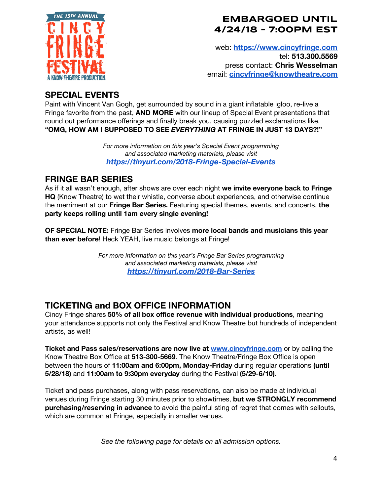

web: **[https://www.cincyfringe.com](https://www.cincyfringe.com/)** tel: **513.300.5569** press contact: **Chris Wesselman** email: **[cincyfringe@knowtheatre.com](mailto:cincyfringe@knowtheatre.com)**

# **SPECIAL EVENTS**

Paint with Vincent Van Gogh, get surrounded by sound in a giant inflatable igloo, re-live a Fringe favorite from the past, **AND MORE** with our lineup of Special Event presentations that round out performance offerings and finally break you, causing puzzled exclamations like, **"OMG, HOW AM I SUPPOSED TO SEE** *EVERYTHING* **AT FRINGE IN JUST 13 DAYS?!"**

> *For more information on this year's Special Event programming and associated marketing materials, please visit <https://tinyurl.com/2018-Fringe-Special-Events>*

# **FRINGE BAR SERIES**

As if it all wasn't enough, after shows are over each night **we invite everyone back to Fringe HQ** (Know Theatre) to wet their whistle, converse about experiences, and otherwise continue the merriment at our **Fringe Bar Series.** Featuring special themes, events, and concerts, **the party keeps rolling until 1am every single evening!**

**OF SPECIAL NOTE:** Fringe Bar Series involves **more local bands and musicians this year than ever before**! Heck YEAH, live music belongs at Fringe!

> *For more information on this year's Fringe Bar Series programming and associated marketing materials, please visit <https://tinyurl.com/2018-Bar-Series>*

# **TICKETING and BOX OFFICE INFORMATION**

Cincy Fringe shares **50% of all box office revenue with individual productions**, meaning your attendance supports not only the Festival and Know Theatre but hundreds of independent artists, as well!

**Ticket and Pass sales/reservations are now live at [www.cincyfringe.com](http://www.cincyfringe.com/)** or by calling the Know Theatre Box Office at **513-300-5669**. The Know Theatre/Fringe Box Office is open between the hours of **11:00am and 6:00pm, Monday-Friday** during regular operations **(until 5/28/18)** and **11:00am to 9:30pm everyday** during the Festival **(5/29-6/10)**.

Ticket and pass purchases, along with pass reservations, can also be made at individual venues during Fringe starting 30 minutes prior to showtimes, **but we STRONGLY recommend purchasing/reserving in advance** to avoid the painful sting of regret that comes with sellouts, which are common at Fringe, especially in smaller venues.

*See the following page for details on all admission options.*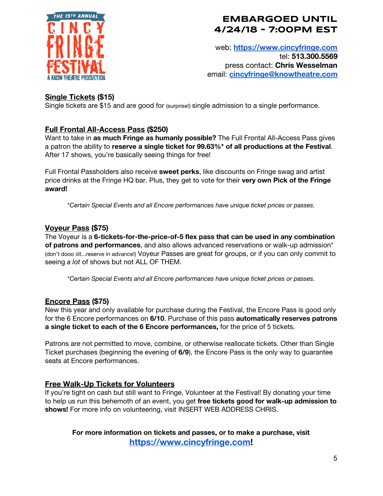

web: **[https://www.cincyfringe.com](https://www.cincyfringe.com/)** tel: **513.300.5569** press contact: **Chris Wesselman** email: **[cincyfringe@knowtheatre.com](mailto:cincyfringe@knowtheatre.com)**

#### **Single Tickets (\$15)**

Single tickets are \$15 and are good for (surprise!) single admission to a single performance.

#### **Full Frontal All-Access Pass (\$250)**

Want to take in **as much Fringe as humanly possible?** The Full Frontal All-Access Pass gives a patron the ability to **reserve a single ticket for 99.63%\* of all productions at the Festival**. After 17 shows, you're basically seeing things for free!

Full Frontal Passholders also receive **sweet perks**, like discounts on Fringe swag and artist price drinks at the Fringe HQ bar. Plus, they get to vote for their **very own Pick of the Fringe award!**

\**Certain Special Events and all Encore performances have unique ticket prices or passes.*

#### **Voyeur Pass (\$75)**

The Voyeur is a **6-tickets-for-the-price-of-5 flex pass that can be used in any combination of patrons and performances**, and also allows advanced reservations or walk-up admission\* (don't dooo iiit...reserve in advance!) Voyeur Passes are great for groups, or if you can only commit to seeing *a lot* of shows but not ALL OF THEM.

\**Certain Special Events and all Encore performances have unique ticket prices or passes.*

#### **Encore Pass (\$75)**

New this year and only available for purchase during the Festival, the Encore Pass is good only for the 6 Encore performances on **6/10**. Purchase of this pass **automatically reserves patrons a single ticket to each of the 6 Encore performances,** for the price of 5 tickets.

Patrons are not permitted to move, combine, or otherwise reallocate tickets. Other than Single Ticket purchases (beginning the evening of **6/9**), the Encore Pass is the only way to guarantee seats at Encore performances.

#### **Free Walk-Up Tickets for Volunteers**

If you're tight on cash but still want to Fringe, Volunteer at the Festival! By donating your time to help us run this behemoth of an event, you get **free tickets good for walk-up admission to shows!** For more info on volunteering, visit INSERT WEB ADDRESS CHRIS.

#### **For more information on tickets and passes, or to make a purchase, visit [https://www.cincyfringe.com](https://www.cincyfringe.com/)!**